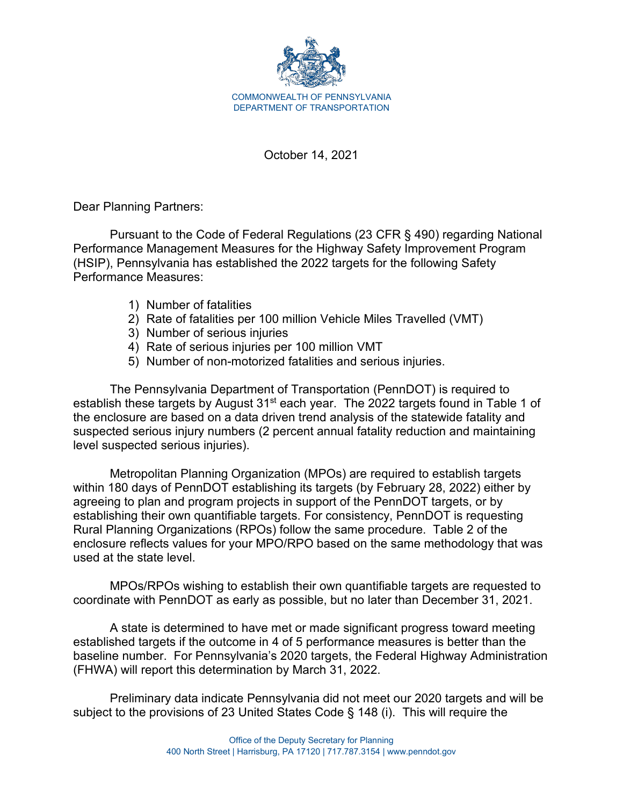

October 14, 2021

Dear Planning Partners:

Pursuant to the Code of Federal Regulations (23 CFR § 490) regarding National Performance Management Measures for the Highway Safety Improvement Program (HSIP), Pennsylvania has established the 2022 targets for the following Safety Performance Measures:

- 1) Number of fatalities
- 2) Rate of fatalities per 100 million Vehicle Miles Travelled (VMT)
- 3) Number of serious injuries
- 4) Rate of serious injuries per 100 million VMT
- 5) Number of non-motorized fatalities and serious injuries.

The Pennsylvania Department of Transportation (PennDOT) is required to establish these targets by August 31<sup>st</sup> each year. The 2022 targets found in Table 1 of the enclosure are based on a data driven trend analysis of the statewide fatality and suspected serious injury numbers (2 percent annual fatality reduction and maintaining level suspected serious injuries).

Metropolitan Planning Organization (MPOs) are required to establish targets within 180 days of PennDOT establishing its targets (by February 28, 2022) either by agreeing to plan and program projects in support of the PennDOT targets, or by establishing their own quantifiable targets. For consistency, PennDOT is requesting Rural Planning Organizations (RPOs) follow the same procedure. Table 2 of the enclosure reflects values for your MPO/RPO based on the same methodology that was used at the state level.

MPOs/RPOs wishing to establish their own quantifiable targets are requested to coordinate with PennDOT as early as possible, but no later than December 31, 2021.

A state is determined to have met or made significant progress toward meeting established targets if the outcome in 4 of 5 performance measures is better than the baseline number. For Pennsylvania's 2020 targets, the Federal Highway Administration (FHWA) will report this determination by March 31, 2022.

Preliminary data indicate Pennsylvania did not meet our 2020 targets and will be subject to the provisions of 23 United States Code § 148 (i). This will require the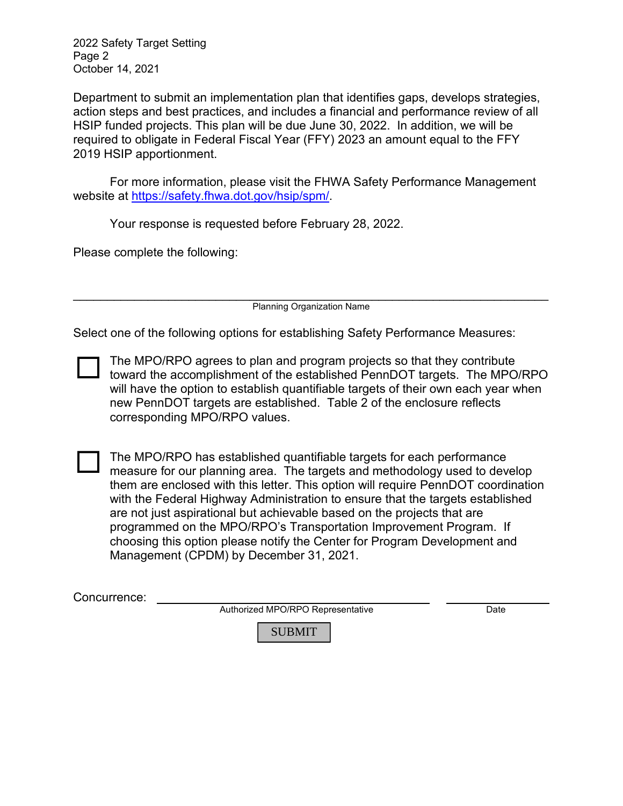2022 Safety Target Setting Page 2 October 14, 2021

Department to submit an implementation plan that identifies gaps, develops strategies, action steps and best practices, and includes a financial and performance review of all HSIP funded projects. This plan will be due June 30, 2022. In addition, we will be required to obligate in Federal Fiscal Year (FFY) 2023 an amount equal to the FFY 2019 HSIP apportionment.

For more information, please visit the FHWA Safety Performance Management website at [https://safety.fhwa.dot.gov/hsip/spm/.](https://safety.fhwa.dot.gov/hsip/spm/)

Your response is requested before February 28, 2022.

Please complete the following:

\_\_\_\_\_\_\_\_\_\_\_\_\_\_\_\_\_\_\_\_\_\_\_\_\_\_\_\_\_\_\_\_\_\_\_\_\_\_\_\_\_\_\_\_\_\_\_\_\_\_\_\_\_\_\_\_\_\_\_\_\_\_\_\_\_\_\_\_\_\_ Planning Organization Name

Select one of the following options for establishing Safety Performance Measures:

The MPO/RPO agrees to plan and program projects so that they contribute toward the accomplishment of the established PennDOT targets. The MPO/RPO will have the option to establish quantifiable targets of their own each year when new PennDOT targets are established. Table 2 of the enclosure reflects corresponding MPO/RPO values.

 $\Box$ 

The MPO/RPO has established quantifiable targets for each performance measure for our planning area. The targets and methodology used to develop them are enclosed with this letter. This option will require PennDOT coordination with the Federal Highway Administration to ensure that the targets established are not just aspirational but achievable based on the projects that are programmed on the MPO/RPO's Transportation Improvement Program. If choosing this option please notify the Center for Program Development and Management (CPDM) by December 31, 2021.

Authorized MPO/RPO Representative Date

SUBMIT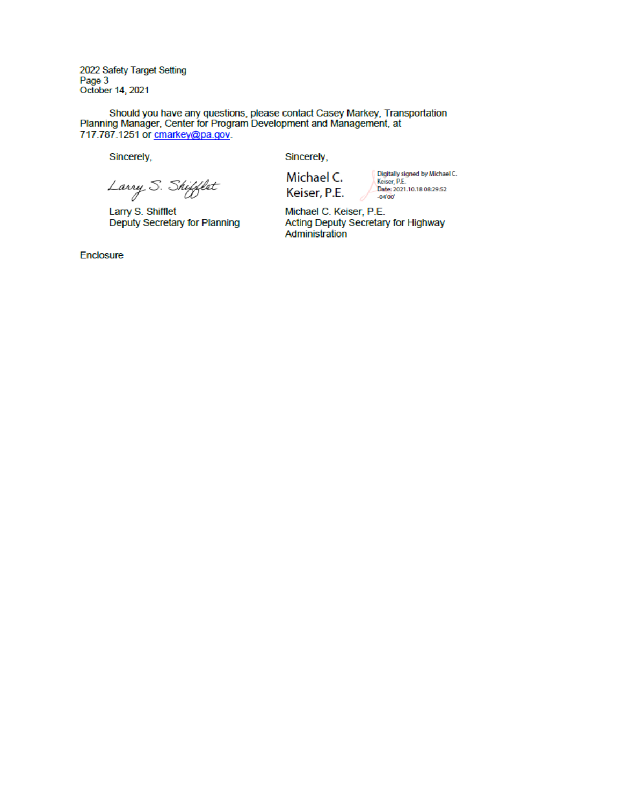2022 Safety Target Setting Page 3 October 14, 2021

Should you have any questions, please contact Casey Markey, Transportation<br>Planning Manager, Center for Program Development and Management, at 717.787.1251 or cmarkey@pa.gov.

Sincerely,

Sincerely,

Larry S. Shifflet

Larry S. Shifflet Deputy Secretary for Planning Michael C. Keiser, P.E. Digitally signed by Michael C.<br>Keiser, P.E.<br>Date: 2021.10.18 08:29:52  $-04'00'$ 

Michael C. Keiser, P.E. Acting Deputy Secretary for Highway Administration

Enclosure